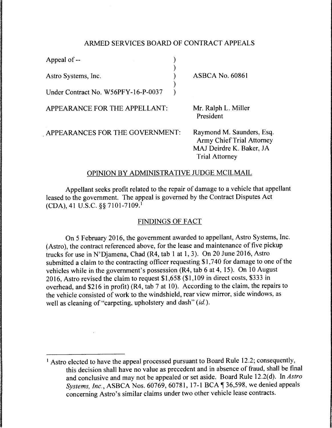## ARMED SERVICES BOARD OF CONTRACT APPEALS

| Appeal of --                        |                                                                                        |
|-------------------------------------|----------------------------------------------------------------------------------------|
| Astro Systems, Inc.                 | <b>ASBCA No. 60861</b>                                                                 |
| Under Contract No. W56PFY-16-P-0037 |                                                                                        |
| APPEARANCE FOR THE APPELLANT:       | Mr. Ralph L. Miller<br>President                                                       |
| APPEARANCES FOR THE GOVERNMENT:     | Raymond M. Saunde<br>Army Chief Trial A<br>MAJ Deirdre K. Bak<br><b>Trial Attorney</b> |

ers, Esq. Attorney ker, JA

## OPINION BY ADMINISTRATIVE JUDGE MCILMAIL

Appellant seeks profit related to the repair of damage to a vehicle that appellant leased to the government. The appeal is governed by the Contract Disputes Act (CDA), 41 U.S.C. §§ 7101-7109. <sup>1</sup>

## FINDINGS OF FACT

On 5 February 2016, the government awarded to appellant, Astro Systems, Inc. (Astro), the contract referenced above, for the lease and maintenance of five pickup trucks for use in N'Djamena, Chad (R4, tab 1 at 1, 3). On 20 June 2016, Astro submitted a claim to the contracting officer requesting \$1, 7 40 for damage to one of the vehicles while in the government's possession (R4, tab 6 at 4, 15). On 10 August 2016, Astro revised the claim to request \$1,658 (\$1,109 in direct costs, \$333 in overhead, and \$216 in profit) (R4, tab 7 at 10). According to the claim, the repairs to the vehicle consisted of work to the windshield, rear view mirror, side windows, as well as cleaning of "carpeting, upholstery and dash" (id.).

<sup>&</sup>lt;sup>1</sup> Astro elected to have the appeal processed pursuant to Board Rule 12.2; consequently, this decision shall have no value as precedent and in absence of fraud, shall be final and conclusive and may not be appealed or set aside. Board Rule 12.2(d). In *Astra Systems, Inc., ASBCA Nos. 60769, 60781, 17-1 BCA* 136,598, we denied appeals concerning Astro's similar claims under two other vehicle lease contracts.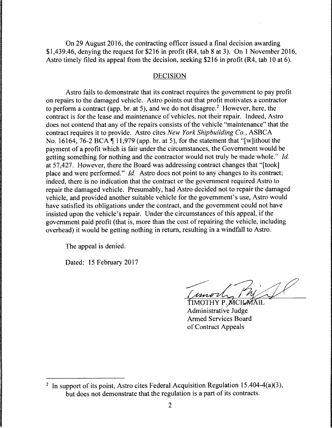On 29 August 2016, the contracting officer issued a final decision awarding \$1,439.46, denying the request for \$216 in profit (R4, tab 8 at 3). On 1 November 2016, Astro timely filed its appeal from the decision, seeking \$216 in profit (R4, tab 10 at 6).

## DECISION

Astro fails to demonstrate that its contract requires the government to pay profit on repairs to the damaged vehicle. Astro points out that profit motivates a contractor to perform a contract (app. br. at 5), and we do not disagree.<sup>2</sup> However, here, the contract is for the lease and maintenance of vehicles, not their repair. Indeed, Astro does not contend that any of the repairs consists of the vehicle "maintenance" that the contract requires it to provide. Astro cites *New York Shipbuilding Co.,* ASBCA No. 16164, 76-2 BCA  $\P$  11,979 (app. br. at 5), for the statement that "[w] ithout the payment of a profit which is fair under the circumstances, the Government would be getting something for nothing and the contractor would not truly be made whole." *Id.*  at 57,427. However, there the Board was addressing contract changes that "[took] place and were performed." *Id.* Astro does not point to any changes to its contract; indeed, there is no indication that the contract or the government required Astro to repair the damaged vehicle. Presumably, had Astro decided not to repair the damaged vehicle, and provided another suitable vehicle for the government's use, Astro would have satisfied its obligations under the contract, and the government could not have insisted upon the vehicle's repair. Under the circumstances of this appeal, if the government paid profit (that is, more than the cost of repairing the vehicle, including overhead) it would be getting nothing in return, resulting in a windfall to Astro.

The appeal is denied.

Dated: 15 February 2017

( unort

TIMOTHY P. MCILATAIL Administrative Judge Armed Services Board of Contract Appeals

<sup>&</sup>lt;sup>2</sup> In support of its point, Astro cites Federal Acquisition Regulation 15.404-4(a)(3), but does not demonstrate that the regulation is a part of its contracts.